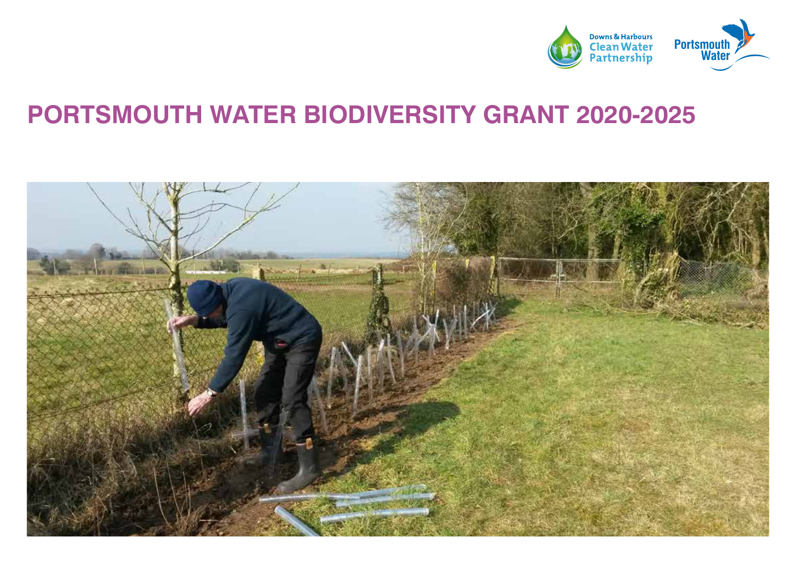

#### **PORTSMOUTH WATER BIODIVERSITY GRANT 2020-2025**

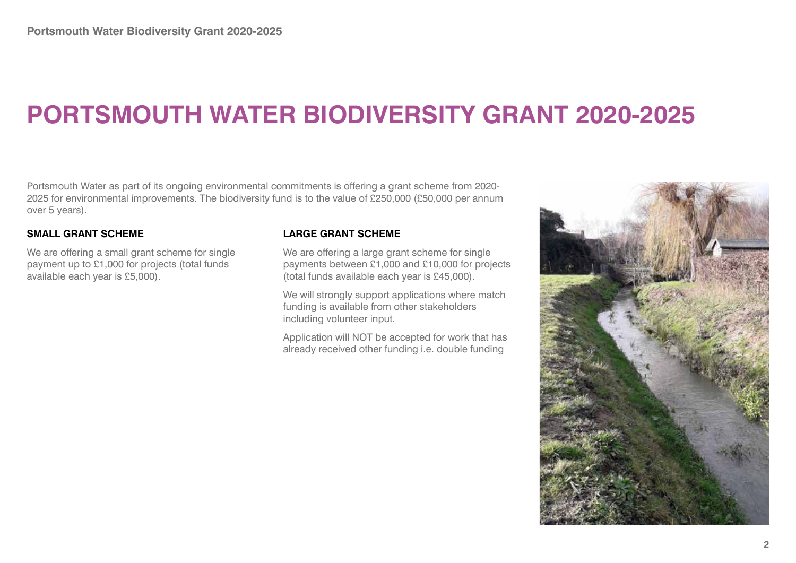### **PORTSMOUTH WATER BIODIVERSITY GRANT 2020-2025**

Portsmouth Water as part of its ongoing environmental commitments is offering a grant scheme from 2020- 2025 for environmental improvements. The biodiversity fund is to the value of £250,000 (£50,000 per annum over 5 years).

#### **SMALL GRANT SCHEME**

We are offering a small grant scheme for single payment up to £1,000 for projects (total funds available each year is £5,000).

#### **LARGE GRANT SCHEME**

We are offering a large grant scheme for single payments between £1,000 and £10,000 for projects (total funds available each year is £45,000).

We will strongly support applications where match funding is available from other stakeholders including volunteer input.

Application will NOT be accepted for work that has already received other funding i.e. double funding

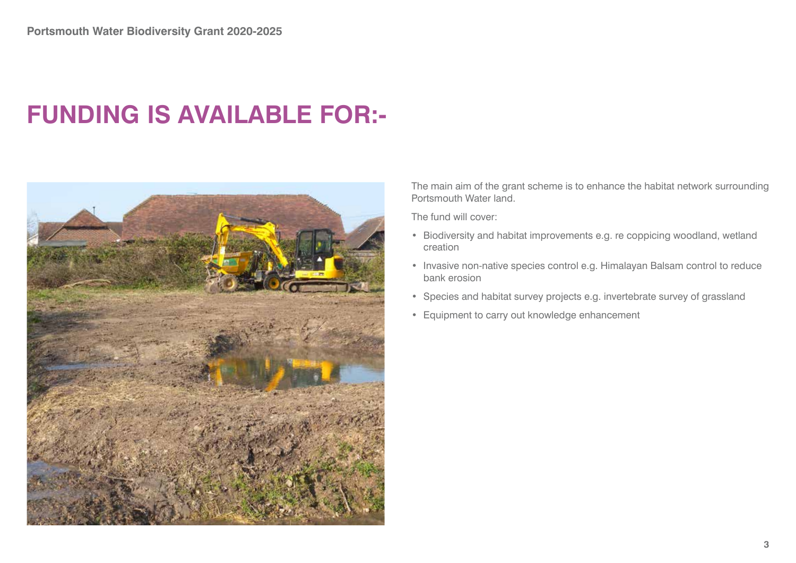#### **FUNDING IS AVAILABLE FOR:-**



The main aim of the grant scheme is to enhance the habitat network surrounding Portsmouth Water land.

The fund will cover:

- Biodiversity and habitat improvements e.g. re coppicing woodland, wetland creation
- Invasive non-native species control e.g. Himalayan Balsam control to reduce bank erosion
- Species and habitat survey projects e.g. invertebrate survey of grassland
- Equipment to carry out knowledge enhancement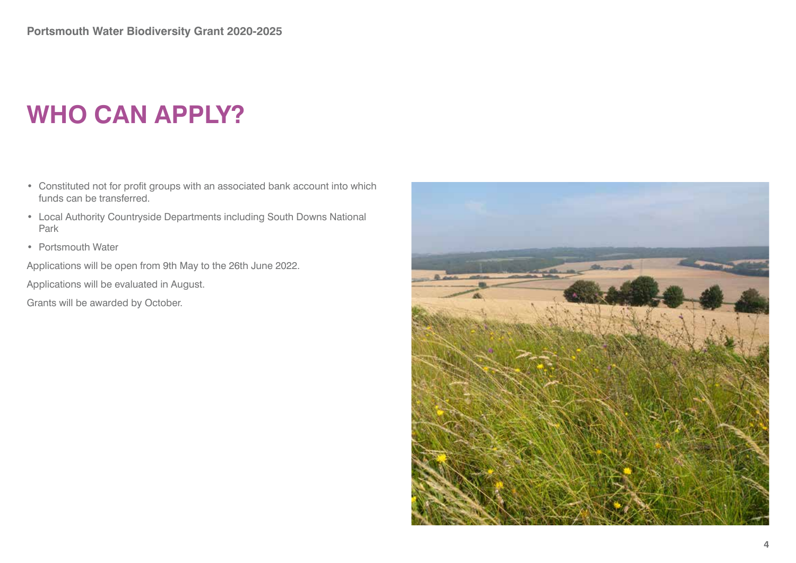# **WHO CAN APPLY?**

- Constituted not for profit groups with an associated bank account into which funds can be transferred.
- Local Authority Countryside Departments including South Downs National Park
- Portsmouth Water

Applications will be open from 9th May to the 26th June 2022.

Applications will be evaluated in August.

Grants will be awarded by October.

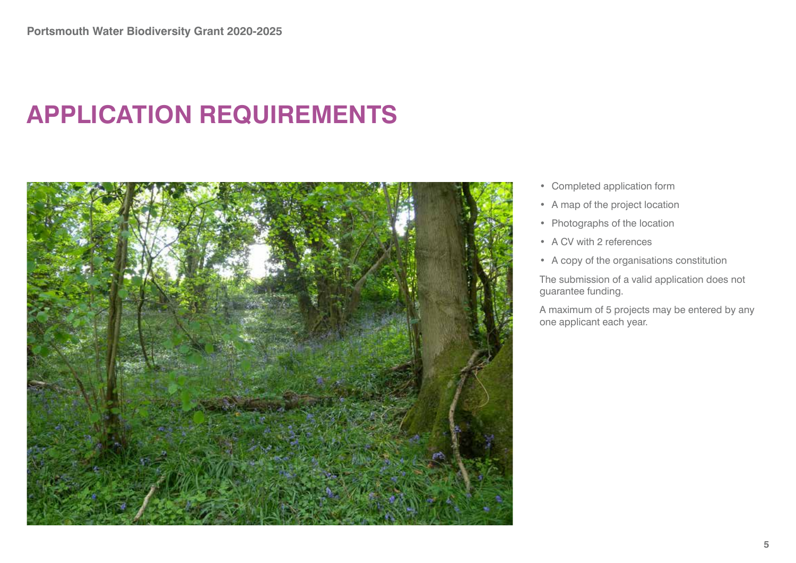### **APPLICATION REQUIREMENTS**



- Completed application form
- A map of the project location
- Photographs of the location
- A CV with 2 references
- A copy of the organisations constitution

The submission of a valid application does not guarantee funding.

A maximum of 5 projects may be entered by any one applicant each year.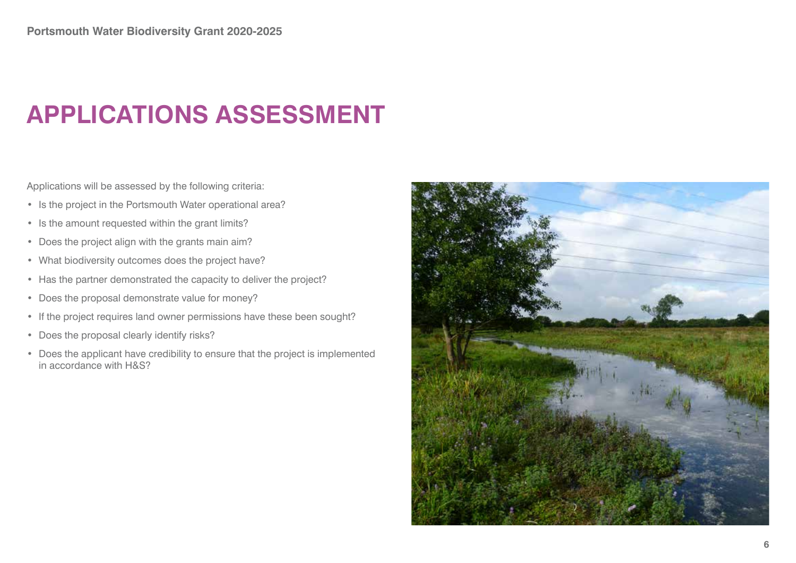## **APPLICATIONS ASSESSMENT**

Applications will be assessed by the following criteria:

- Is the project in the Portsmouth Water operational area?
- Is the amount requested within the grant limits?
- Does the project align with the grants main aim?
- What biodiversity outcomes does the project have?
- Has the partner demonstrated the capacity to deliver the project?
- Does the proposal demonstrate value for money?
- If the project requires land owner permissions have these been sought?
- Does the proposal clearly identify risks?
- Does the applicant have credibility to ensure that the project is implemented in accordance with H&S?

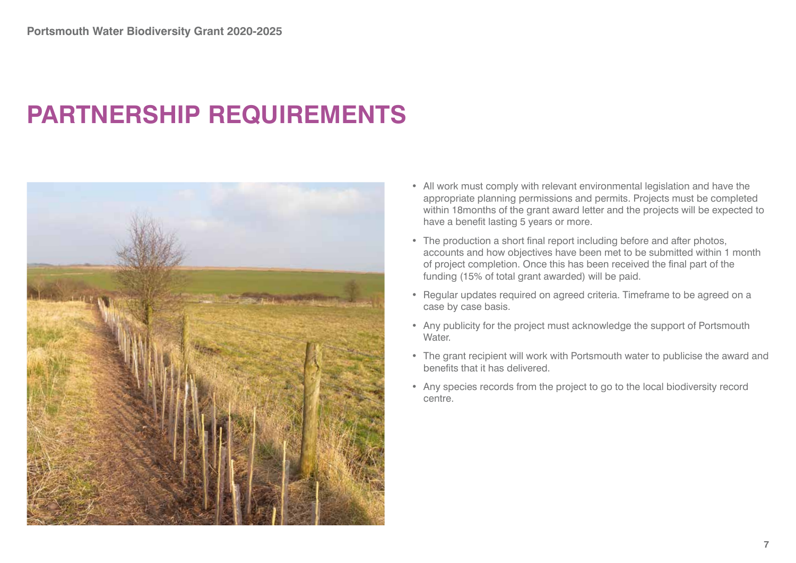## **PARTNERSHIP REQUIREMENTS**



- All work must comply with relevant environmental legislation and have the appropriate planning permissions and permits. Projects must be completed within 18months of the grant award letter and the projects will be expected to have a benefit lasting 5 years or more.
- The production a short final report including before and after photos, accounts and how objectives have been met to be submitted within 1 month of project completion. Once this has been received the final part of the funding (15% of total grant awarded) will be paid.
- Regular updates required on agreed criteria. Timeframe to be agreed on a case by case basis.
- Any publicity for the project must acknowledge the support of Portsmouth Water.
- The grant recipient will work with Portsmouth water to publicise the award and benefits that it has delivered.
- Any species records from the project to go to the local biodiversity record centre.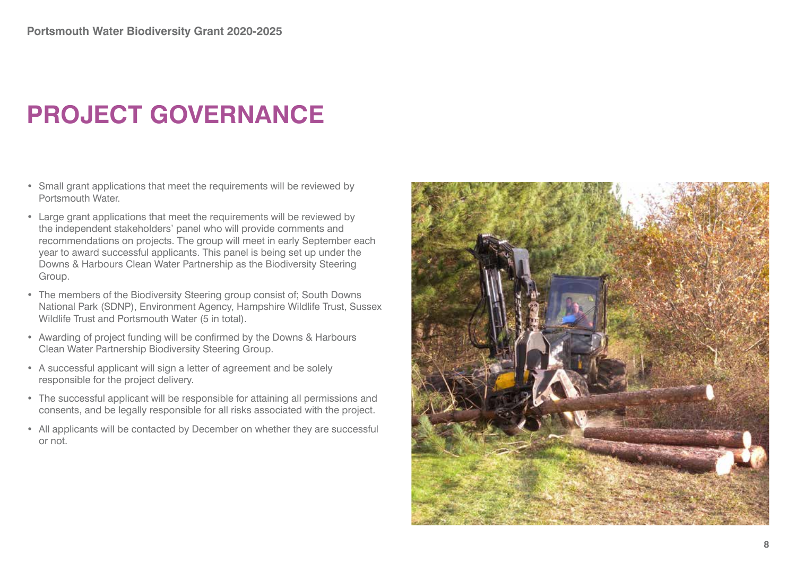# **PROJECT GOVERNANCE**

- Small grant applications that meet the requirements will be reviewed by Portsmouth Water.
- Large grant applications that meet the requirements will be reviewed by the independent stakeholders' panel who will provide comments and recommendations on projects. The group will meet in early September each year to award successful applicants. This panel is being set up under the Downs & Harbours Clean Water Partnership as the Biodiversity Steering Group.
- The members of the Biodiversity Steering group consist of; South Downs National Park (SDNP), Environment Agency, Hampshire Wildlife Trust, Sussex Wildlife Trust and Portsmouth Water (5 in total).
- Awarding of project funding will be confirmed by the Downs & Harbours Clean Water Partnership Biodiversity Steering Group.
- A successful applicant will sign a letter of agreement and be solely responsible for the project delivery.
- The successful applicant will be responsible for attaining all permissions and consents, and be legally responsible for all risks associated with the project.
- All applicants will be contacted by December on whether they are successful or not.

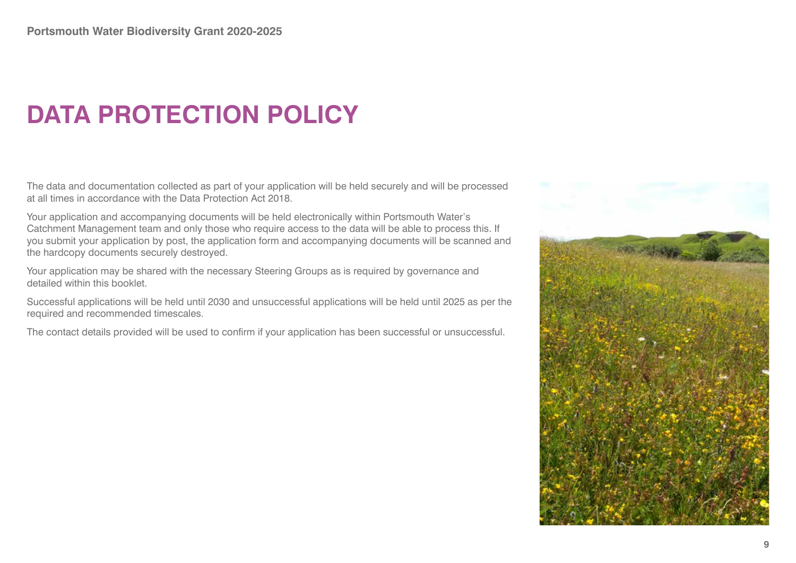# **DATA PROTECTION POLICY**

The data and documentation collected as part of your application will be held securely and will be processed at all times in accordance with the Data Protection Act 2018.

Your application and accompanying documents will be held electronically within Portsmouth Water's Catchment Management team and only those who require access to the data will be able to process this. If you submit your application by post, the application form and accompanying documents will be scanned and the hardcopy documents securely destroyed.

Your application may be shared with the necessary Steering Groups as is required by governance and detailed within this booklet.

Successful applications will be held until 2030 and unsuccessful applications will be held until 2025 as per the required and recommended timescales.

The contact details provided will be used to confirm if your application has been successful or unsuccessful.